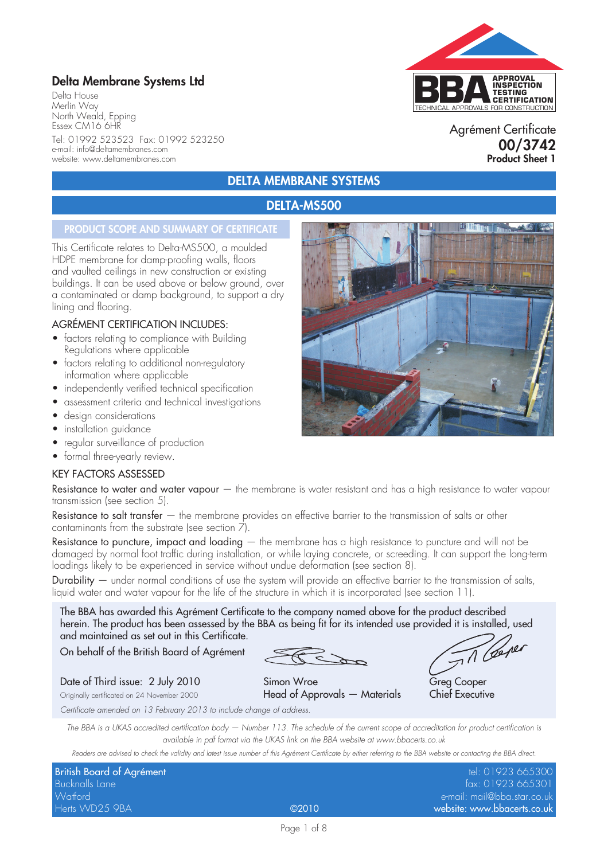## **Delta Membrane Systems Ltd**

Delta House Merlin Way North Weald, Epping Essex CM16 6HR Tel: 01992 523523 Fax: 01992 523250 e-mail: info@deltamembranes.com website: www.deltamembranes.com

# TECHNICAL APPROVALS FOR CONSTRUCTION **APPROVAL INSPECTION TESTING CERTIFICATION**

#### Agrément Certificate **00/3742 Product Sheet 1**

### **DELTA MEMBRANE SYSTEMS**

#### **DELTA-MS500**

#### **PRODUCT SCOPE AND SUMMARY OF CERTIFICATE**

This Certificate relates to Delta-MS500, a moulded HDPE membrane for damp-proofing walls, floors and vaulted ceilings in new construction or existing buildings. It can be used above or below ground, over a contaminated or damp background, to support a dry lining and flooring.

#### AGRÉMENT CERTIFICATION INCLUDES:

- factors relating to compliance with Building Regulations where applicable
- factors relating to additional non-regulatory information where applicable
- independently verified technical specification
- assessment criteria and technical investigations
- design considerations
- installation guidance
- regular surveillance of production
- formal three-yearly review.

#### KEY FACTORS ASSESSED

Resistance to water and water vapour  $-$  the membrane is water resistant and has a high resistance to water vapour transmission (see section 5).

Resistance to salt transfer – the membrane provides an effective barrier to the transmission of salts or other contaminants from the substrate (see section 7).

Resistance to puncture, impact and loading — the membrane has a high resistance to puncture and will not be damaged by normal foot traffic during installation, or while laying concrete, or screeding. It can support the long-term loadings likely to be experienced in service without undue deformation (see section 8).

Durability — under normal conditions of use the system will provide an effective barrier to the transmission of salts, liquid water and water vapour for the life of the structure in which it is incorporated (see section 11).

The BBA has awarded this Agrément Certificate to the company named above for the product described herein. The product has been assessed by the BBA as being fit for its intended use provided it is installed, used and maintained as set out in this Certificate.

On behalf of the British Board of Agrément

T Cener

Date of Third issue: 2 July 2010 Simon Wroe Greg Cooper Originally certificated on 24 November 2000 **Head of Approvals — Materials Chief Executive** 

*Certificate amended on 13 February 2013 to include change of address.*

*The BBA is a UKAS accredited certification body — Number 113. The schedule of the current scope of accreditation for product certification is available in pdf format via the UKAS link on the BBA website at www.bbacerts.co.uk*

*Readers are advised to check the validity and latest issue number of this Agrément Certificate by either referring to the BBA website or contacting the BBA direct.*

| <b>British Board of Agrément</b> |       | tel: 01923 665300           |
|----------------------------------|-------|-----------------------------|
| <b>Bucknalls Lane</b>            |       | fax: 01923 665301           |
| Watford                          |       | e-mail: mail@bba.star.co.uk |
| Herts WD25 9BA                   | ©2010 | website: www.bbacerts.co.uk |

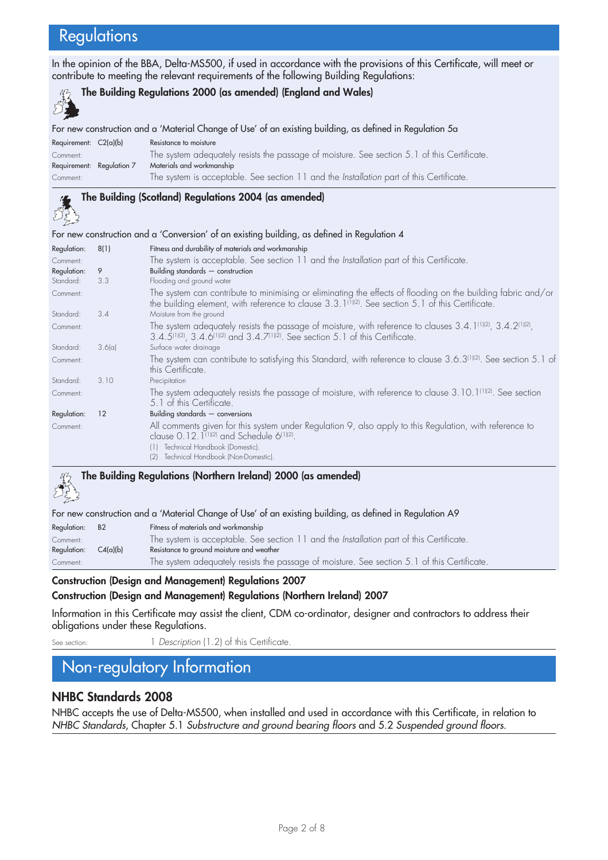# **Regulations**

ولاستح

In the opinion of the BBA, Delta-MS500, if used in accordance with the provisions of this Certificate, will meet or contribute to meeting the relevant requirements of the following Building Regulations:

#### **The Building Regulations 2000 (as amended) (England and Wales)**

For new construction and a 'Material Change of Use' of an existing building, as defined in Regulation 5a

| Requirement: $C2(a)(b)$   | Resistance to moisture                                                                         |
|---------------------------|------------------------------------------------------------------------------------------------|
| Comment:                  | The system adequately resists the passage of moisture. See section 5.1 of this Certificate.    |
| Requirement: Requlation 7 | Materials and workmanship                                                                      |
| Comment:                  | The system is acceptable. See section 11 and the <i>Installation</i> part of this Certificate. |

## **The Building (Scotland) Regulations 2004 (as amended)**

#### For new construction and a 'Conversion' of an existing building, as defined in Regulation 4

| Regulation: | 8(1)   | Fitness and durability of materials and workmanship                                                                                                                                                                                                   |  |
|-------------|--------|-------------------------------------------------------------------------------------------------------------------------------------------------------------------------------------------------------------------------------------------------------|--|
| Comment:    |        | The system is acceptable. See section 11 and the Installation part of this Certificate.                                                                                                                                                               |  |
| Regulation: | 9      | Building standards $-$ construction                                                                                                                                                                                                                   |  |
| Standard:   | 3.3    | Flooding and ground water                                                                                                                                                                                                                             |  |
| Comment:    |        | The system can contribute to minimising or eliminating the effects of flooding on the building fabric and/or<br>the building element, with reference to clause $3.3.1$ ( $1/1/2$ ). See section 5.1 of this Certificate.                              |  |
| Standard:   | 3.4    | Moisture from the ground                                                                                                                                                                                                                              |  |
| Comment:    |        | The system adequately resists the passage of moisture, with reference to clauses $3.4.1^{(1)(2)}$ , $3.4.2^{(1)(2)}$ ,<br>$3.4.5^{(1)(2)}$ , $3.4.6^{(1)(2)}$ and $3.4.7^{(1)(2)}$ . See section 5.1 of this Certificate.                             |  |
| Standard:   | 3.6(a) | Surface water drainage                                                                                                                                                                                                                                |  |
| Comment:    |        | The system can contribute to satisfying this Standard, with reference to clause 3.6.3(1)(2). See section 5.1 of<br>this Certificate.                                                                                                                  |  |
| Standard:   | 3.10   | Precipitation                                                                                                                                                                                                                                         |  |
| Comment:    |        | The system adequately resists the passage of moisture, with reference to clause 3.10.1 <sup>(1)(2)</sup> . See section<br>5.1 of this Certificate.                                                                                                    |  |
| Regulation: | 12     | Building standards $-$ conversions                                                                                                                                                                                                                    |  |
| Comment:    |        | All comments given for this system under Regulation 9, also apply to this Regulation, with reference to<br>clause 0.12.1 <sup>(1)(2)</sup> and Schedule 6 <sup>(1)(2)</sup> .<br>Technical Handbook (Domestic).<br>Technical Handbook (Non-Domestic). |  |

# **The Building Regulations (Northern Ireland) 2000 (as amended)**

| For new construction and a 'Material Change of Use' of an existing building, as defined in Regulation A9 |          |                                                                                             |
|----------------------------------------------------------------------------------------------------------|----------|---------------------------------------------------------------------------------------------|
| Regulation: B2                                                                                           |          | Fitness of materials and workmanship                                                        |
| Comment:                                                                                                 |          | The system is acceptable. See section 11 and the Installation part of this Certificate.     |
| Regulation:                                                                                              | C4(a)(b) | Resistance to ground moisture and weather                                                   |
| Comment:                                                                                                 |          | The system adequately resists the passage of moisture. See section 5.1 of this Certificate. |

#### **Construction (Design and Management) Regulations 2007**

#### **Construction (Design and Management) Regulations (Northern Ireland) 2007**

Information in this Certificate may assist the client, CDM co-ordinator, designer and contractors to address their obligations under these Regulations.

See section: 1 *Description* (1.2) of this Certificate

# Non-regulatory Information

#### **NHBC Standards 2008**

NHBC accepts the use of Delta-MS500, when installed and used in accordance with this Certificate, in relation to *NHBC Standards*, Chapter 5.1 *Substructure and ground bearing floors* and 5.2 *Suspended ground floors*.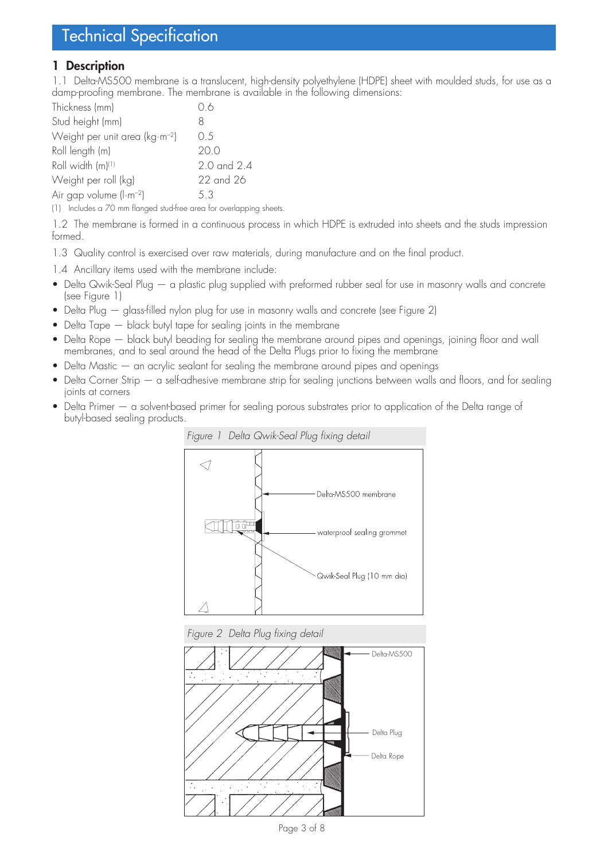### **1 Description**

1.1 Delta-MS500 membrane is a translucent, high-density polyethylene (HDPE) sheet with moulded studs, for use as a damp-proofing membrane. The membrane is available in the following dimensions:

| Thickness (mm)                      | 06          |
|-------------------------------------|-------------|
| Stud height (mm)                    | 8           |
| Weight per unit area ( $kg·m-2$ )   | 0.5         |
| Roll length (m)                     | 20.0        |
| Roll width (m) <sup>(1)</sup>       | 2.0 and 2.4 |
| Weight per roll (kg)                | 22 and 26   |
| Air gap volume (I·m <sup>-2</sup> ) | 5.3         |

(1) Includes a 70 mm flanged stud-free area for overlapping sheets.

1.2 The membrane is formed in a continuous process in which HDPE is extruded into sheets and the studs impression formed.

1.3 Quality control is exercised over raw materials, during manufacture and on the final product.

1.4 Ancillary items used with the membrane include:

- Delta Qwik-Seal Plug a plastic plug supplied with preformed rubber seal for use in masonry walls and concrete (see Figure 1)
- Delta Plug glass-filled nylon plug for use in masonry walls and concrete (see Figure 2)
- Delta Tape black butyl tape for sealing joints in the membrane
- Delta Rope black butyl beading for sealing the membrane around pipes and openings, joining floor and wall membranes, and to seal around the head of the Delta Plugs prior to fixing the membrane
- $\Delta$  Delta Mastic  $-$  an acrylic sealant for sealing the membrane around pipes and openings
- Delta Corner Strip a self-adhesive membrane strip for sealing junctions between walls and floors, and for sealing joints at corners
- Delta Primer a solvent-based primer for sealing porous substrates prior to application of the Delta range of butyl-based sealing products.



*Figure 2 Delta Plug fixing detail*



Page 3 of 8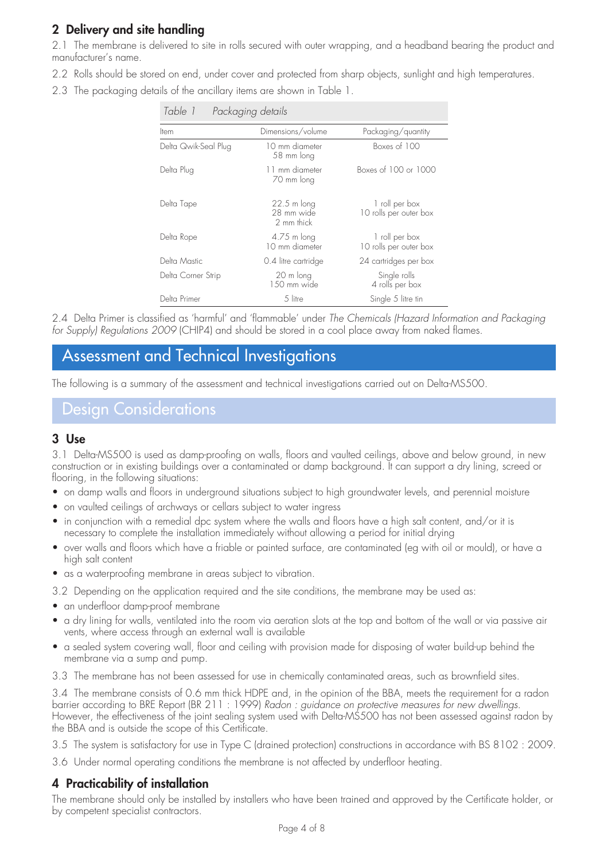## **2 Delivery and site handling**

2.1 The membrane is delivered to site in rolls secured with outer wrapping, and a headband bearing the product and manufacturer's name.

- 2.2 Rolls should be stored on end, under cover and protected from sharp objects, sunlight and high temperatures.
- 2.3 The packaging details of the ancillary items are shown in Table 1.

| Table 1<br>Packaging details |                                                   |                                          |  |
|------------------------------|---------------------------------------------------|------------------------------------------|--|
| Item                         | Dimensions/volume                                 | Packaging/quantity                       |  |
| Delta Qwik-Seal Plug         | 10 mm diameter<br>58 mm long                      | Boxes of 100                             |  |
| Delta Plug                   | 11 mm diameter<br>70 mm long                      | Boxes of 100 or 1000                     |  |
| Delta Tape                   | $22.5 \text{ m}$ long<br>28 mm wide<br>2 mm thick | 1 roll per box<br>10 rolls per outer box |  |
| Delta Rope                   | 4.75 m long<br>10 mm diameter                     | 1 roll per box<br>10 rolls per outer box |  |
| Delta Mastic                 | 0.4 litre cartridge                               | 24 cartridges per box                    |  |
| Delta Corner Strip           | 20 m long<br>$1.50$ mm wide                       | Single rolls<br>4 rolls per box          |  |
| Delta Primer                 | 5 litre                                           | Single 5 litre tin                       |  |

2.4 Delta Primer is classified as 'harmful' and 'flammable' under *The Chemicals (Hazard Information and Packaging for Supply) Regulations 2009* (CHIP4) and should be stored in a cool place away from naked flames.

# Assessment and Technical Investigations

The following is a summary of the assessment and technical investigations carried out on Delta-MS500.

## Design Considerations

## **3 Use**

3.1 Delta-MS500 is used as damp-proofing on walls, floors and vaulted ceilings, above and below ground, in new construction or in existing buildings over a contaminated or damp background. It can support a dry lining, screed or flooring, in the following situations:

- on damp walls and floors in underground situations subject to high groundwater levels, and perennial moisture
- on vaulted ceilings of archways or cellars subject to water ingress
- in conjunction with a remedial dpc system where the walls and floors have a high salt content, and/or it is necessary to complete the installation immediately without allowing a period for initial drying
- over walls and floors which have a friable or painted surface, are contaminated (eg with oil or mould), or have a high salt content
- as a waterproofing membrane in areas subject to vibration.
- 3.2 Depending on the application required and the site conditions, the membrane may be used as:
- an underfloor damp-proof membrane
- a dry lining for walls, ventilated into the room via aeration slots at the top and bottom of the wall or via passive air vents, where access through an external wall is available
- a sealed system covering wall, floor and ceiling with provision made for disposing of water build-up behind the membrane via a sump and pump.
- 3.3 The membrane has not been assessed for use in chemically contaminated areas, such as brownfield sites.

3.4 The membrane consists of 0.6 mm thick HDPE and, in the opinion of the BBA, meets the requirement for a radon barrier according to BRE Report (BR 211 : 1999) *Radon : guidance on protective measures for new dwellings*. However, the effectiveness of the joint sealing system used with Delta-MS500 has not been assessed against radon by the BBA and is outside the scope of this Certificate.

3.5 The system is satisfactory for use in Type C (drained protection) constructions in accordance with BS 8102 : 2009.

3.6 Under normal operating conditions the membrane is not affected by underfloor heating.

## **4 Practicability of installation**

The membrane should only be installed by installers who have been trained and approved by the Certificate holder, or by competent specialist contractors.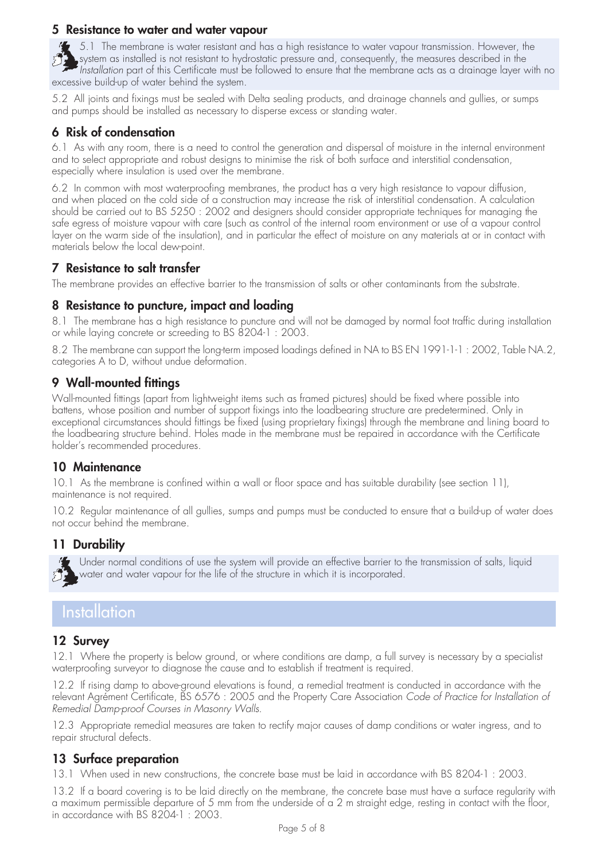### **5 Resistance to water and water vapour**

 $\blacklozenge$  5.1 The membrane is water resistant and has a high resistance to water vapour transmission. However, the system as installed is not resistant to hydrostatic pressure and, consequently, the measures described in the *Installation* part of this Certificate must be followed to ensure that the membrane acts as a drainage layer with no excessive build-up of water behind the system.

5.2 All joints and fixings must be sealed with Delta sealing products, and drainage channels and gullies, or sumps and pumps should be installed as necessary to disperse excess or standing water.

## **6 Risk of condensation**

6.1 As with any room, there is a need to control the generation and dispersal of moisture in the internal environment and to select appropriate and robust designs to minimise the risk of both surface and interstitial condensation, especially where insulation is used over the membrane.

6.2 In common with most waterproofing membranes, the product has a very high resistance to vapour diffusion, and when placed on the cold side of a construction may increase the risk of interstitial condensation. A calculation should be carried out to BS 5250 : 2002 and designers should consider appropriate techniques for managing the safe egress of moisture vapour with care (such as control of the internal room environment or use of a vapour control layer on the warm side of the insulation), and in particular the effect of moisture on any materials at or in contact with materials below the local dew-point.

### **7 Resistance to salt transfer**

The membrane provides an effective barrier to the transmission of salts or other contaminants from the substrate.

#### **8 Resistance to puncture, impact and loading**

8.1 The membrane has a high resistance to puncture and will not be damaged by normal foot traffic during installation or while laying concrete or screeding to BS 8204-1 : 2003.

8.2 The membrane can support the long-term imposed loadings defined in NA to BS EN 1991-1-1 : 2002, Table NA.2, categories A to D, without undue deformation.

### **9 Wall-mounted fittings**

Wall-mounted fittings (apart from lightweight items such as framed pictures) should be fixed where possible into battens, whose position and number of support fixings into the loadbearing structure are predetermined. Only in exceptional circumstances should fittings be fixed (using proprietary fixings) through the membrane and lining board to the loadbearing structure behind. Holes made in the membrane must be repaired in accordance with the Certificate holder's recommended procedures.

### **10 Maintenance**

10.1 As the membrane is confined within a wall or floor space and has suitable durability (see section 11), maintenance is not required.

10.2 Regular maintenance of all gullies, sumps and pumps must be conducted to ensure that a build-up of water does not occur behind the membrane.

### **11 Durability**

Under normal conditions of use the system will provide an effective barrier to the transmission of salts, liquid water and water vapour for the life of the structure in which it is incorporated.

## **Installation**

### **12 Survey**

12.1 Where the property is below ground, or where conditions are damp, a full survey is necessary by a specialist waterproofing surveyor to diagnose the cause and to establish if treatment is required.

12.2 If rising damp to above-ground elevations is found, a remedial treatment is conducted in accordance with the relevant Agrément Certificate, BS 6576 : 2005 and the Property Care Association *Code of Practice for Installation of Remedial Damp-proof Courses in Masonry Walls*.

12.3 Appropriate remedial measures are taken to rectify major causes of damp conditions or water ingress, and to repair structural defects.

### **13 Surface preparation**

13.1 When used in new constructions, the concrete base must be laid in accordance with BS 8204-1 : 2003.

13.2 If a board covering is to be laid directly on the membrane, the concrete base must have a surface regularity with a maximum permissible departure of 5 mm from the underside of a 2 m straight edge, resting in contact with the floor, in accordance with BS 8204-1 : 2003.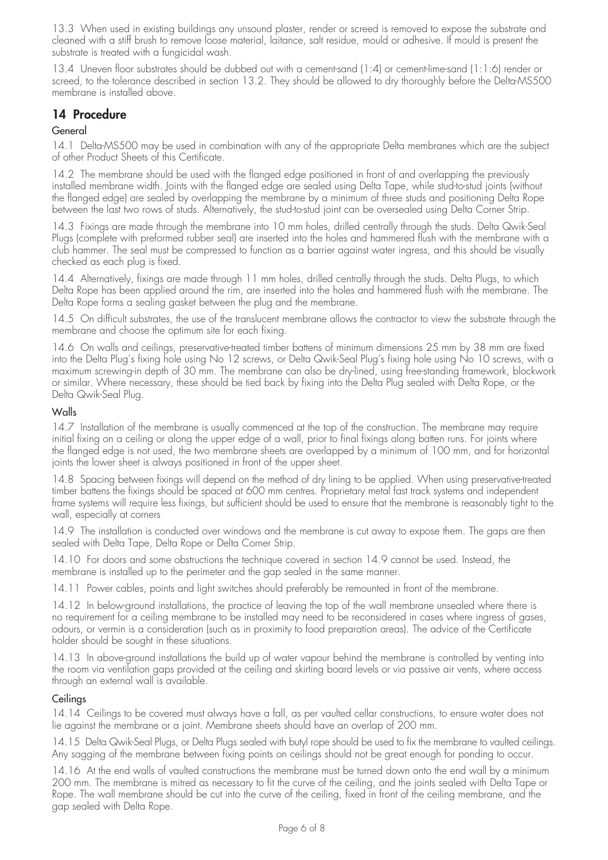13.3 When used in existing buildings any unsound plaster, render or screed is removed to expose the substrate and cleaned with a stiff brush to remove loose material, laitance, salt residue, mould or adhesive. If mould is present the substrate is treated with a fungicidal wash.

13.4 Uneven floor substrates should be dubbed out with a cement-sand (1:4) or cement-lime-sand (1:1:6) render or screed, to the tolerance described in section 13.2. They should be allowed to dry thoroughly before the Delta-MS500 membrane is installed above.

### **14 Procedure**

#### **General**

14.1 Delta-MS500 may be used in combination with any of the appropriate Delta membranes which are the subject of other Product Sheets of this Certificate.

14.2 The membrane should be used with the flanged edge positioned in front of and overlapping the previously installed membrane width. Joints with the flanged edge are sealed using Delta Tape, while stud-to-stud joints (without the flanged edge) are sealed by overlapping the membrane by a minimum of three studs and positioning Delta Rope between the last two rows of studs. Alternatively, the stud-to-stud joint can be oversealed using Delta Corner Strip.

14.3 Fixings are made through the membrane into 10 mm holes, drilled centrally through the studs. Delta Qwik-Seal Plugs (complete with preformed rubber seal) are inserted into the holes and hammered flush with the membrane with a club hammer. The seal must be compressed to function as a barrier against water ingress, and this should be visually checked as each plug is fixed.

14.4 Alternatively, fixings are made through 11 mm holes, drilled centrally through the studs. Delta Plugs, to which Delta Rope has been applied around the rim, are inserted into the holes and hammered flush with the membrane. The Delta Rope forms a sealing gasket between the plug and the membrane.

14.5 On difficult substrates, the use of the translucent membrane allows the contractor to view the substrate through the membrane and choose the optimum site for each fixing.

14.6 On walls and ceilings, preservative-treated timber battens of minimum dimensions 25 mm by 38 mm are fixed into the Delta Plug's fixing hole using No 12 screws, or Delta Qwik-Seal Plug's fixing hole using No 10 screws, with a maximum screwing-in depth of 30 mm. The membrane can also be dry-lined, using free-standing framework, blockwork or similar. Where necessary, these should be tied back by fixing into the Delta Plug sealed with Delta Rope, or the Delta Qwik-Seal Plug.

#### Walls

14.7 Installation of the membrane is usually commenced at the top of the construction. The membrane may require initial fixing on a ceiling or along the upper edge of a wall, prior to final fixings along batten runs. For joints where the flanged edge is not used, the two membrane sheets are overlapped by a minimum of 100 mm, and for horizontal joints the lower sheet is always positioned in front of the upper sheet.

14.8 Spacing between fixings will depend on the method of dry lining to be applied. When using preservative-treated timber battens the fixings should be spaced at 600 mm centres. Proprietary metal fast track systems and independent frame systems will require less fixings, but sufficient should be used to ensure that the membrane is reasonably tight to the wall, especially at corners

14.9 The installation is conducted over windows and the membrane is cut away to expose them. The gaps are then sealed with Delta Tape, Delta Rope or Delta Corner Strip.

14.10 For doors and some obstructions the technique covered in section 14.9 cannot be used. Instead, the membrane is installed up to the perimeter and the gap sealed in the same manner.

14.11 Power cables, points and light switches should preferably be remounted in front of the membrane.

14.12 In below-ground installations, the practice of leaving the top of the wall membrane unsealed where there is no requirement for a ceiling membrane to be installed may need to be reconsidered in cases where ingress of gases, odours, or vermin is a consideration (such as in proximity to food preparation areas). The advice of the Certificate holder should be sought in these situations.

14.13 In above-ground installations the build up of water vapour behind the membrane is controlled by venting into the room via ventilation gaps provided at the ceiling and skirting board levels or via passive air vents, where access through an external wall is available.

#### **Ceilings**

14.14 Ceilings to be covered must always have a fall, as per vaulted cellar constructions, to ensure water does not lie against the membrane or a joint. Membrane sheets should have an overlap of 200 mm.

14.15 Delta Qwik-Seal Plugs, or Delta Plugs sealed with butyl rope should be used to fix the membrane to vaulted ceilings. Any sagging of the membrane between fixing points on ceilings should not be great enough for ponding to occur.

14.16 At the end walls of vaulted constructions the membrane must be turned down onto the end wall by a minimum 200 mm. The membrane is mitred as necessary to fit the curve of the ceiling, and the joints sealed with Delta Tape or Rope. The wall membrane should be cut into the curve of the ceiling, fixed in front of the ceiling membrane, and the gap sealed with Delta Rope.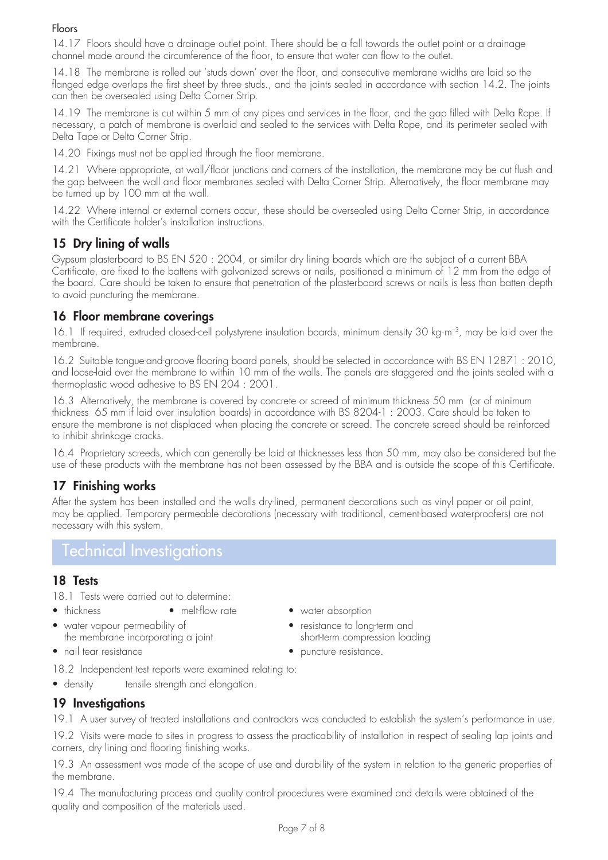#### Floors

14.17 Floors should have a drainage outlet point. There should be a fall towards the outlet point or a drainage channel made around the circumference of the floor, to ensure that water can flow to the outlet.

14.18 The membrane is rolled out 'studs down' over the floor, and consecutive membrane widths are laid so the flanged edge overlaps the first sheet by three studs., and the joints sealed in accordance with section 14.2. The joints can then be oversealed using Delta Corner Strip.

14.19 The membrane is cut within 5 mm of any pipes and services in the floor, and the gap filled with Delta Rope. If necessary, a patch of membrane is overlaid and sealed to the services with Delta Rope, and its perimeter sealed with Delta Tape or Delta Corner Strip.

14.20 Fixings must not be applied through the floor membrane.

14.21 Where appropriate, at wall/floor junctions and corners of the installation, the membrane may be cut flush and the gap between the wall and floor membranes sealed with Delta Corner Strip. Alternatively, the floor membrane may be turned up by 100 mm at the wall.

14.22 Where internal or external corners occur, these should be oversealed using Delta Corner Strip, in accordance with the Certificate holder's installation instructions.

## **15 Dry lining of walls**

Gypsum plasterboard to BS EN 520 : 2004, or similar dry lining boards which are the subject of a current BBA Certificate, are fixed to the battens with galvanized screws or nails, positioned a minimum of 12 mm from the edge of the board. Care should be taken to ensure that penetration of the plasterboard screws or nails is less than batten depth to avoid puncturing the membrane.

### **16 Floor membrane coverings**

16.1 If required, extruded closed-cell polystyrene insulation boards, minimum density 30 kg·m<sup>-3</sup>, may be laid over the membrane.

16.2 Suitable tongue-and-groove flooring board panels, should be selected in accordance with BS EN 12871 : 2010, and loose-laid over the membrane to within 10 mm of the walls. The panels are staggered and the joints sealed with a thermoplastic wood adhesive to BS EN 204 : 2001.

16.3 Alternatively, the membrane is covered by concrete or screed of minimum thickness 50 mm (or of minimum thickness 65 mm if laid over insulation boards) in accordance with BS 8204-1 : 2003. Care should be taken to ensure the membrane is not displaced when placing the concrete or screed. The concrete screed should be reinforced to inhibit shrinkage cracks.

16.4 Proprietary screeds, which can generally be laid at thicknesses less than 50 mm, may also be considered but the use of these products with the membrane has not been assessed by the BBA and is outside the scope of this Certificate.

## **17 Finishing works**

After the system has been installed and the walls dry-lined, permanent decorations such as vinyl paper or oil paint, may be applied. Temporary permeable decorations (necessary with traditional, cement-based waterproofers) are not necessary with this system.

## Technical Investigations

### **18 Tests**

18.1 Tests were carried out to determine:

- thickness melt-flow rate water absorption
- water vapour permeability of  $\qquad \qquad \bullet$  resistance to long-term and the membrane incorporating a joint short-term compression loading
- 
- 
- nail tear resistance puncture resistance.
- 
- 18.2 Independent test reports were examined relating to:
- density tensile strength and elongation.

## **19 Investigations**

19.1 A user survey of treated installations and contractors was conducted to establish the system's performance in use.

19.2 Visits were made to sites in progress to assess the practicability of installation in respect of sealing lap joints and corners, dry lining and flooring finishing works.

19.3 An assessment was made of the scope of use and durability of the system in relation to the generic properties of the membrane.

19.4 The manufacturing process and quality control procedures were examined and details were obtained of the quality and composition of the materials used.